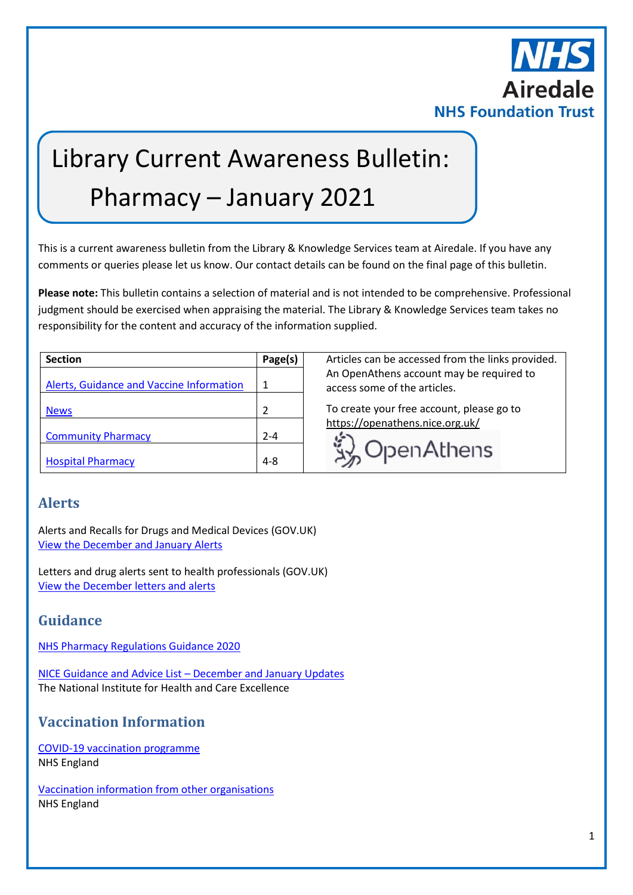

# Library Current Awareness Bulletin: Pharmacy – January 2021

This is a current awareness bulletin from the Library & Knowledge Services team at Airedale. If you have any comments or queries please let us know. Our contact details can be found on the final page of this bulletin.

**Please note:** This bulletin contains a selection of material and is not intended to be comprehensive. Professional judgment should be exercised when appraising the material. The Library & Knowledge Services team takes no responsibility for the content and accuracy of the information supplied.

| <b>Section</b>                           | Page(s)       |
|------------------------------------------|---------------|
| Alerts, Guidance and Vaccine Information | 1             |
| <b>News</b>                              | $\mathfrak z$ |
| <b>Community Pharmacy</b>                | $2 - 4$       |
| <b>Hospital Pharmacy</b>                 | 4-8           |

Articles can be accessed from the links provided. An OpenAthens account may be required to access some of the articles.

To create your free account, please go to <https://openathens.nice.org.uk/>



## <span id="page-0-0"></span>**Alerts**

Alerts and Recalls for Drugs and Medical Devices (GOV.UK) [View the December](https://www.gov.uk/drug-device-alerts?issued_date%5Bfrom%5D=30%2F11%2F2020) and January Alerts

Letters and drug alerts sent to health professionals (GOV.UK) [View the December](https://www.gov.uk/drug-safety-update/letters-and-drug-alerts-sent-to-healthcare-professionals-in-december-2020) letters and alerts

# **Guidance**

[NHS Pharmacy Regulations Guidance 2020](https://www.england.nhs.uk/primary-care/pharmacy/pharmacy-manual/nhs-pharmacy-regulations-guidance-2020/)

[NICE Guidance and Advice List](https://www.nice.org.uk/guidance/published?fromdate=December%202020&todate=January%202021) – December and January Updates The National Institute for Health and Care Excellence

# **Vaccination Information**

[COVID-19 vaccination programme](https://www.england.nhs.uk/coronavirus/covid-19-vaccination-programme/) NHS England

[Vaccination information from other organisations](https://www.england.nhs.uk/coronavirus/covid-19-vaccination-programme/key-vaccination-information/) NHS England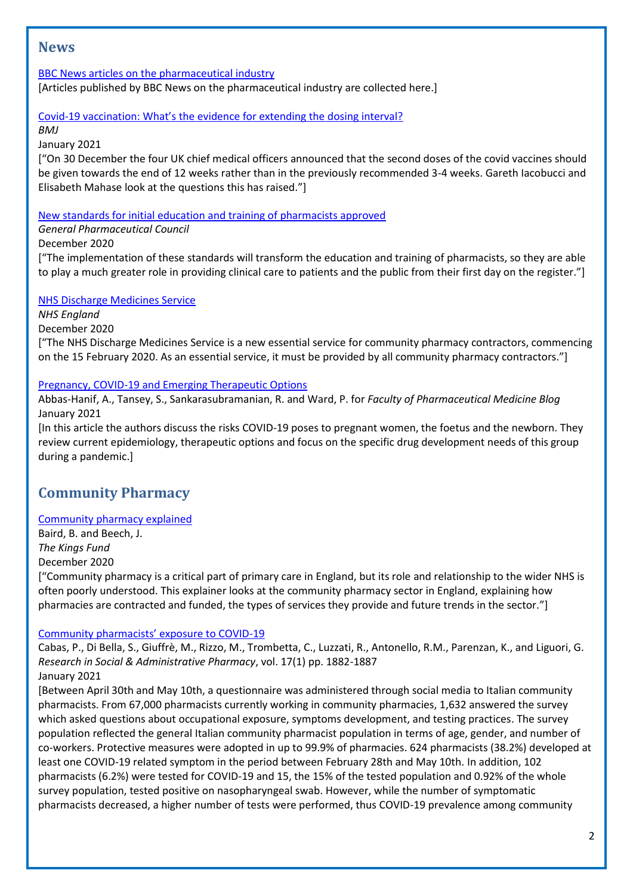## <span id="page-1-0"></span>**News**

#### [BBC News articles on the pharmaceutical industry](https://www.bbc.co.uk/news/topics/cg1lkvgedv8t/pharmaceutical-industry)

[Articles published by BBC News on the pharmaceutical industry are collected here.]

#### Covid-[19 vaccination: What's the evidence for extending the dosing interval?](https://www.bmj.com/content/372/bmj.n18)

*BMJ*

January 2021

["On 30 December the four UK chief medical officers announced that the second doses of the covid vaccines should be given towards the end of 12 weeks rather than in the previously recommended 3-4 weeks. Gareth Iacobucci and Elisabeth Mahase look at the questions this has raised."]

#### [New standards for initial education and training of pharmacists approved](https://www.pharmacyregulation.org/news/new-standards-initial-education-and-training-pharmacists-approved)

#### *General Pharmaceutical Council*

December 2020

["The implementation of these standards will transform the education and training of pharmacists, so they are able to play a much greater role in providing clinical care to patients and the public from their first day on the register."]

#### [NHS Discharge Medicines Service](https://www.england.nhs.uk/primary-care/pharmacy/nhs-discharge-medicines-service/)

*NHS England*

#### December 2020

["The NHS Discharge Medicines Service is a new essential service for community pharmacy contractors, commencing on the 15 February 2020. As an essential service, it must be provided by all community pharmacy contractors."]

#### [Pregnancy, COVID-19 and Emerging Therapeutic Options](https://www.fpm.org.uk/blog/pregnancy-covid-19-and-emerging-therapeutic-options/)

Abbas-Hanif, A., Tansey, S., Sankarasubramanian, R. and Ward, P. for *Faculty of Pharmaceutical Medicine Blog* January 2021

[In this article the authors discuss the risks COVID-19 poses to pregnant women, the foetus and the newborn. They review current epidemiology, therapeutic options and focus on the specific drug development needs of this group during a pandemic.]

# <span id="page-1-1"></span>**Community Pharmacy**

#### [Community pharmacy explained](https://www.kingsfund.org.uk/publications/community-pharmacy-explained)

Baird, B. and Beech, J. *The Kings Fund* December 2020

["Community pharmacy is a critical part of primary care in England, but its role and relationship to the wider NHS is often poorly understood. This explainer looks at the community pharmacy sector in England, explaining how pharmacies are contracted and funded, the types of services they provide and future trends in the sector."]

#### [Community pharmacists' exposure to COVID](https://www.ncbi.nlm.nih.gov/pmc/articles/PMC7255346/)-19

Cabas, P., Di Bella, S., Giuffrè, M., Rizzo, M., Trombetta, C., Luzzati, R., Antonello, R.M., Parenzan, K., and Liguori, G. *Research in Social & Administrative Pharmacy*, vol. 17(1) pp. 1882-1887 January 2021

[Between April 30th and May 10th, a questionnaire was administered through social media to Italian community pharmacists. From 67,000 pharmacists currently working in community pharmacies, 1,632 answered the survey which asked questions about occupational exposure, symptoms development, and testing practices. The survey population reflected the general Italian community pharmacist population in terms of age, gender, and number of co-workers. Protective measures were adopted in up to 99.9% of pharmacies. 624 pharmacists (38.2%) developed at least one COVID-19 related symptom in the period between February 28th and May 10th. In addition, 102 pharmacists (6.2%) were tested for COVID-19 and 15, the 15% of the tested population and 0.92% of the whole survey population, tested positive on nasopharyngeal swab. However, while the number of symptomatic pharmacists decreased, a higher number of tests were performed, thus COVID-19 prevalence among community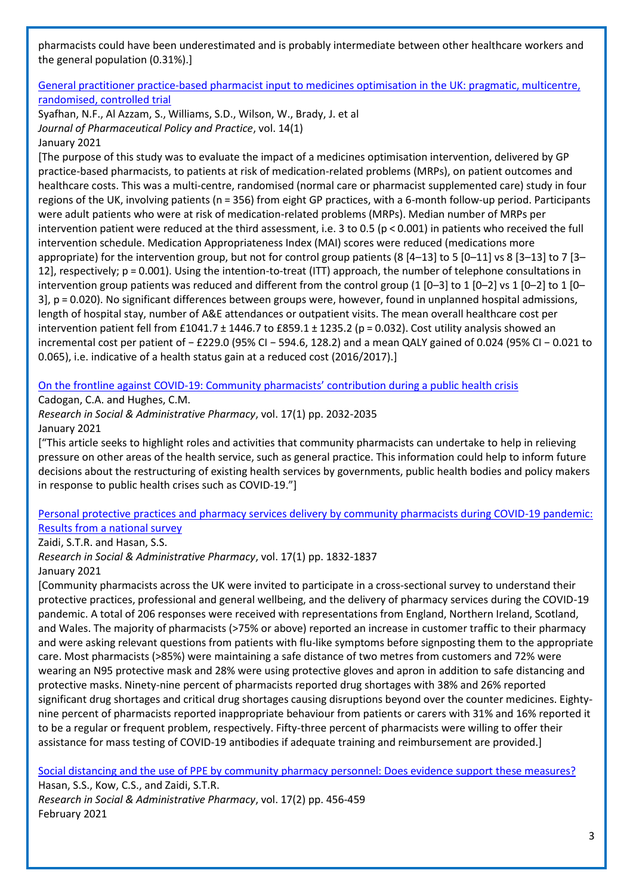pharmacists could have been underestimated and is probably intermediate between other healthcare workers and the general population (0.31%).]

## [General practitioner practice-based pharmacist input to medicines optimisation in the UK: pragmatic, multicentre,](https://joppp.biomedcentral.com/articles/10.1186/s40545-020-00279-3)  [randomised, controlled trial](https://joppp.biomedcentral.com/articles/10.1186/s40545-020-00279-3)

Syafhan, N.F., Al Azzam, S., Williams, S.D., Wilson, W., Brady, J. et al *Journal of Pharmaceutical Policy and Practice*, vol. 14(1) January 2021

[The purpose of this study was to evaluate the impact of a medicines optimisation intervention, delivered by GP practice-based pharmacists, to patients at risk of medication-related problems (MRPs), on patient outcomes and healthcare costs. This was a multi-centre, randomised (normal care or pharmacist supplemented care) study in four regions of the UK, involving patients (n = 356) from eight GP practices, with a 6-month follow-up period. Participants were adult patients who were at risk of medication-related problems (MRPs). Median number of MRPs per intervention patient were reduced at the third assessment, i.e. 3 to 0.5 (p < 0.001) in patients who received the full intervention schedule. Medication Appropriateness Index (MAI) scores were reduced (medications more appropriate) for the intervention group, but not for control group patients (8  $[4-13]$  to 5  $[0-11]$  vs 8  $[3-13]$  to 7  $[3-$ 12], respectively; p = 0.001). Using the intention-to-treat (ITT) approach, the number of telephone consultations in intervention group patients was reduced and different from the control group (1  $[0-3]$  to 1  $[0-2]$  vs 1  $[0-2]$  to 1  $[0-$ 3], p = 0.020). No significant differences between groups were, however, found in unplanned hospital admissions, length of hospital stay, number of A&E attendances or outpatient visits. The mean overall healthcare cost per intervention patient fell from £1041.7 ± 1446.7 to £859.1 ± 1235.2 (p = 0.032). Cost utility analysis showed an incremental cost per patient of − £229.0 (95% CI − 594.6, 128.2) and a mean QALY gained of 0.024 (95% CI − 0.021 to 0.065), i.e. indicative of a health status gain at a reduced cost (2016/2017).]

On the frontline against COVID-19: Community pharmacists' [contribution during a public health crisis](https://www.ncbi.nlm.nih.gov/pmc/articles/PMC7270164/)

Cadogan, C.A. and Hughes, C.M.

*Research in Social & Administrative Pharmacy*, vol. 17(1) pp. 2032-2035 January 2021

["This article seeks to highlight roles and activities that community pharmacists can undertake to help in relieving pressure on other areas of the health service, such as general practice. This information could help to inform future decisions about the restructuring of existing health services by governments, public health bodies and policy makers in response to public health crises such as COVID-19."]

## [Personal protective practices and pharmacy services delivery by community pharmacists during COVID-19 pandemic:](https://www.ncbi.nlm.nih.gov/pmc/articles/PMC7347346/)  [Results from a national survey](https://www.ncbi.nlm.nih.gov/pmc/articles/PMC7347346/)

Zaidi, S.T.R. and Hasan, S.S.

*Research in Social & Administrative Pharmacy*, vol. 17(1) pp. 1832-1837 January 2021

[Community pharmacists across the UK were invited to participate in a cross-sectional survey to understand their protective practices, professional and general wellbeing, and the delivery of pharmacy services during the COVID-19 pandemic. A total of 206 responses were received with representations from England, Northern Ireland, Scotland, and Wales. The majority of pharmacists (>75% or above) reported an increase in customer traffic to their pharmacy and were asking relevant questions from patients with flu-like symptoms before signposting them to the appropriate care. Most pharmacists (>85%) were maintaining a safe distance of two metres from customers and 72% were wearing an N95 protective mask and 28% were using protective gloves and apron in addition to safe distancing and protective masks. Ninety-nine percent of pharmacists reported drug shortages with 38% and 26% reported significant drug shortages and critical drug shortages causing disruptions beyond over the counter medicines. Eightynine percent of pharmacists reported inappropriate behaviour from patients or carers with 31% and 16% reported it to be a regular or frequent problem, respectively. Fifty-three percent of pharmacists were willing to offer their assistance for mass testing of COVID-19 antibodies if adequate training and reimbursement are provided.]

[Social distancing and the use of PPE by community pharmacy personnel: Does evidence support these measures?](https://www.ncbi.nlm.nih.gov/pmc/articles/PMC7252013/) Hasan, S.S., Kow, C.S., and Zaidi, S.T.R.

*Research in Social & Administrative Pharmacy*, vol. 17(2) pp. 456-459 February 2021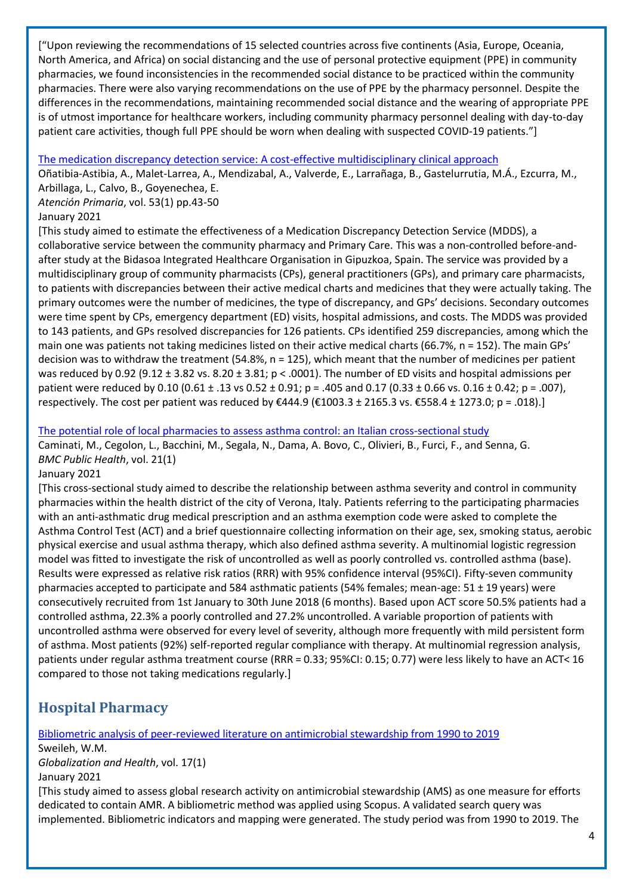["Upon reviewing the recommendations of 15 selected countries across five continents (Asia, Europe, Oceania, North America, and Africa) on social distancing and the use of personal protective equipment (PPE) in community pharmacies, we found inconsistencies in the recommended social distance to be practiced within the community pharmacies. There were also varying recommendations on the use of PPE by the pharmacy personnel. Despite the differences in the recommendations, maintaining recommended social distance and the wearing of appropriate PPE is of utmost importance for healthcare workers, including community pharmacy personnel dealing with day-to-day patient care activities, though full PPE should be worn when dealing with suspected COVID-19 patients."]

#### [The medication discrepancy detection service: A cost-effective multidisciplinary clinical approach](https://www.sciencedirect.com/science/article/pii/S0212656720301372?via%3Dihub)

Oñatibia-Astibia, A., Malet-Larrea, A., Mendizabal, A., Valverde, E., Larrañaga, B., Gastelurrutia, M.Á., Ezcurra, M., Arbillaga, L., Calvo, B., Goyenechea, E.

*Atención Primaria*, vol. 53(1) pp.43-50

#### January 2021

[This study aimed to estimate the effectiveness of a Medication Discrepancy Detection Service (MDDS), a collaborative service between the community pharmacy and Primary Care. This was a non-controlled before-andafter study at the Bidasoa Integrated Healthcare Organisation in Gipuzkoa, Spain. The service was provided by a multidisciplinary group of community pharmacists (CPs), general practitioners (GPs), and primary care pharmacists, to patients with discrepancies between their active medical charts and medicines that they were actually taking. The primary outcomes were the number of medicines, the type of discrepancy, and GPs' decisions. Secondary outcomes were time spent by CPs, emergency department (ED) visits, hospital admissions, and costs. The MDDS was provided to 143 patients, and GPs resolved discrepancies for 126 patients. CPs identified 259 discrepancies, among which the main one was patients not taking medicines listed on their active medical charts (66.7%, n = 152). The main GPs' decision was to withdraw the treatment (54.8%, n = 125), which meant that the number of medicines per patient was reduced by 0.92 (9.12  $\pm$  3.82 vs. 8.20  $\pm$  3.81; p < .0001). The number of ED visits and hospital admissions per patient were reduced by 0.10 (0.61 ± .13 vs 0.52 ± 0.91; p = .405 and 0.17 (0.33 ± 0.66 vs. 0.16 ± 0.42; p = .007), respectively. The cost per patient was reduced by €444.9 (€1003.3 ± 2165.3 vs. €558.4 ± 1273.0; p = .018).]

#### [The potential role of local pharmacies to assess asthma control: an Italian cross-sectional study](https://link.springer.com/article/10.1186/s12889-020-10080-1)

Caminati, M., Cegolon, L., Bacchini, M., Segala, N., Dama, A. Bovo, C., Olivieri, B., Furci, F., and Senna, G. *BMC Public Health*, vol. 21(1)

#### January 2021

[This cross-sectional study aimed to describe the relationship between asthma severity and control in community pharmacies within the health district of the city of Verona, Italy. Patients referring to the participating pharmacies with an anti-asthmatic drug medical prescription and an asthma exemption code were asked to complete the Asthma Control Test (ACT) and a brief questionnaire collecting information on their age, sex, smoking status, aerobic physical exercise and usual asthma therapy, which also defined asthma severity. A multinomial logistic regression model was fitted to investigate the risk of uncontrolled as well as poorly controlled vs. controlled asthma (base). Results were expressed as relative risk ratios (RRR) with 95% confidence interval (95%CI). Fifty-seven community pharmacies accepted to participate and 584 asthmatic patients (54% females; mean-age: 51 ± 19 years) were consecutively recruited from 1st January to 30th June 2018 (6 months). Based upon ACT score 50.5% patients had a controlled asthma, 22.3% a poorly controlled and 27.2% uncontrolled. A variable proportion of patients with uncontrolled asthma were observed for every level of severity, although more frequently with mild persistent form of asthma. Most patients (92%) self-reported regular compliance with therapy. At multinomial regression analysis, patients under regular asthma treatment course (RRR = 0.33; 95%CI: 0.15; 0.77) were less likely to have an ACT< 16 compared to those not taking medications regularly.]

# <span id="page-3-0"></span>**Hospital Pharmacy**

[Bibliometric analysis of peer-reviewed literature on antimicrobial stewardship from 1990 to 2019](https://globalizationandhealth.biomedcentral.com/articles/10.1186/s12992-020-00651-7) Sweileh, W.M. *Globalization and Health*, vol. 17(1) January 2021 [This study aimed to assess global research activity on antimicrobial stewardship (AMS) as one measure for efforts dedicated to contain AMR. A bibliometric method was applied using Scopus. A validated search query was implemented. Bibliometric indicators and mapping were generated. The study period was from 1990 to 2019. The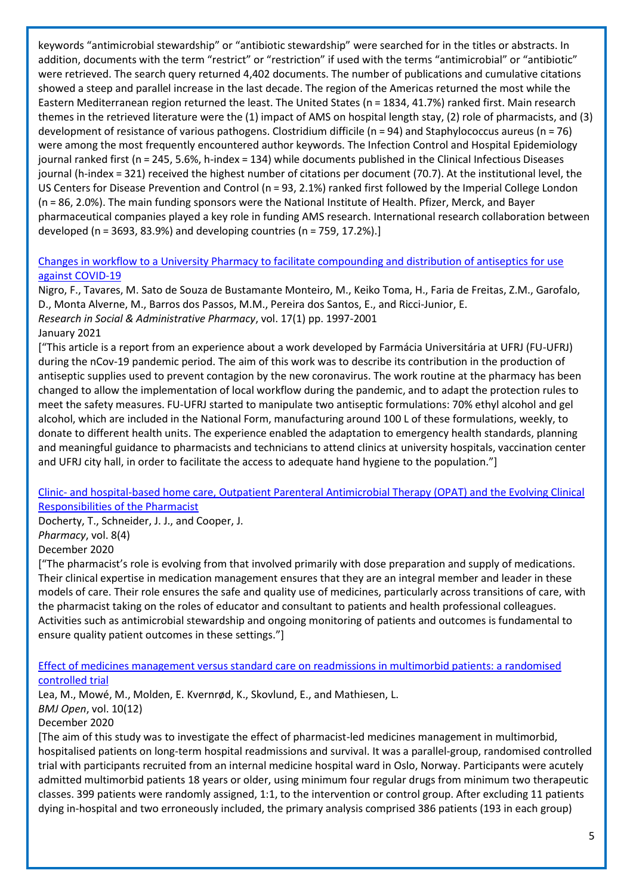keywords "antimicrobial stewardship" or "antibiotic stewardship" were searched for in the titles or abstracts. In addition, documents with the term "restrict" or "restriction" if used with the terms "antimicrobial" or "antibiotic" were retrieved. The search query returned 4,402 documents. The number of publications and cumulative citations showed a steep and parallel increase in the last decade. The region of the Americas returned the most while the Eastern Mediterranean region returned the least. The United States (n = 1834, 41.7%) ranked first. Main research themes in the retrieved literature were the (1) impact of AMS on hospital length stay, (2) role of pharmacists, and (3) development of resistance of various pathogens. Clostridium difficile (n = 94) and Staphylococcus aureus (n = 76) were among the most frequently encountered author keywords. The Infection Control and Hospital Epidemiology journal ranked first (n = 245, 5.6%, h-index = 134) while documents published in the Clinical Infectious Diseases journal (h-index = 321) received the highest number of citations per document (70.7). At the institutional level, the US Centers for Disease Prevention and Control (n = 93, 2.1%) ranked first followed by the Imperial College London (n = 86, 2.0%). The main funding sponsors were the National Institute of Health. Pfizer, Merck, and Bayer pharmaceutical companies played a key role in funding AMS research. International research collaboration between developed (n = 3693, 83.9%) and developing countries (n = 759, 17.2%).]

## [Changes in workflow to a University Pharmacy to facilitate compounding and distribution of antiseptics for use](https://www.ncbi.nlm.nih.gov/pmc/articles/PMC7527879/)  [against COVID-19](https://www.ncbi.nlm.nih.gov/pmc/articles/PMC7527879/)

Nigro, F., Tavares, M. Sato de Souza de Bustamante Monteiro, M., Keiko Toma, H., Faria de Freitas, Z.M., Garofalo, D., Monta Alverne, M., Barros dos Passos, M.M., Pereira dos Santos, E., and Ricci-Junior, E. *Research in Social & Administrative Pharmacy*, vol. 17(1) pp. 1997-2001 January 2021

["This article is a report from an experience about a work developed by Farmácia Universitária at UFRJ (FU-UFRJ) during the nCov-19 pandemic period. The aim of this work was to describe its contribution in the production of antiseptic supplies used to prevent contagion by the new coronavirus. The work routine at the pharmacy has been changed to allow the implementation of local workflow during the pandemic, and to adapt the protection rules to meet the safety measures. FU-UFRJ started to manipulate two antiseptic formulations: 70% ethyl alcohol and gel alcohol, which are included in the National Form, manufacturing around 100 L of these formulations, weekly, to donate to different health units. The experience enabled the adaptation to emergency health standards, planning and meaningful guidance to pharmacists and technicians to attend clinics at university hospitals, vaccination center and UFRJ city hall, in order to facilitate the access to adequate hand hygiene to the population."]

#### Clinic- [and hospital-based home care, Outpatient Parenteral Antimicrobial Therapy \(OPAT\) and the Evolving Clinical](https://www.mdpi.com/2226-4787/8/4/233)  [Responsibilities of the Pharmacist](https://www.mdpi.com/2226-4787/8/4/233)

Docherty, T., Schneider, J. J., and Cooper, J. *Pharmacy*, vol. 8(4)

#### December 2020

["The pharmacist's role is evolving from that involved primarily with dose preparation and supply of medications. Their clinical expertise in medication management ensures that they are an integral member and leader in these models of care. Their role ensures the safe and quality use of medicines, particularly across transitions of care, with the pharmacist taking on the roles of educator and consultant to patients and health professional colleagues. Activities such as antimicrobial stewardship and ongoing monitoring of patients and outcomes is fundamental to ensure quality patient outcomes in these settings."]

#### [Effect of medicines management versus standard care on readmissions in multimorbid patients: a randomised](https://bmjopen.bmj.com/content/10/12/e041558)  [controlled trial](https://bmjopen.bmj.com/content/10/12/e041558)

Lea, M., Mowé, M., Molden, E. Kvernrød, K., Skovlund, E., and Mathiesen, L.

#### *BMJ Open*, vol. 10(12)

## December 2020

[The aim of this study was to investigate the effect of pharmacist-led medicines management in multimorbid, hospitalised patients on long-term hospital readmissions and survival. It was a parallel-group, randomised controlled trial with participants recruited from an internal medicine hospital ward in Oslo, Norway. Participants were acutely admitted multimorbid patients 18 years or older, using minimum four regular drugs from minimum two therapeutic classes. 399 patients were randomly assigned, 1:1, to the intervention or control group. After excluding 11 patients dying in-hospital and two erroneously included, the primary analysis comprised 386 patients (193 in each group)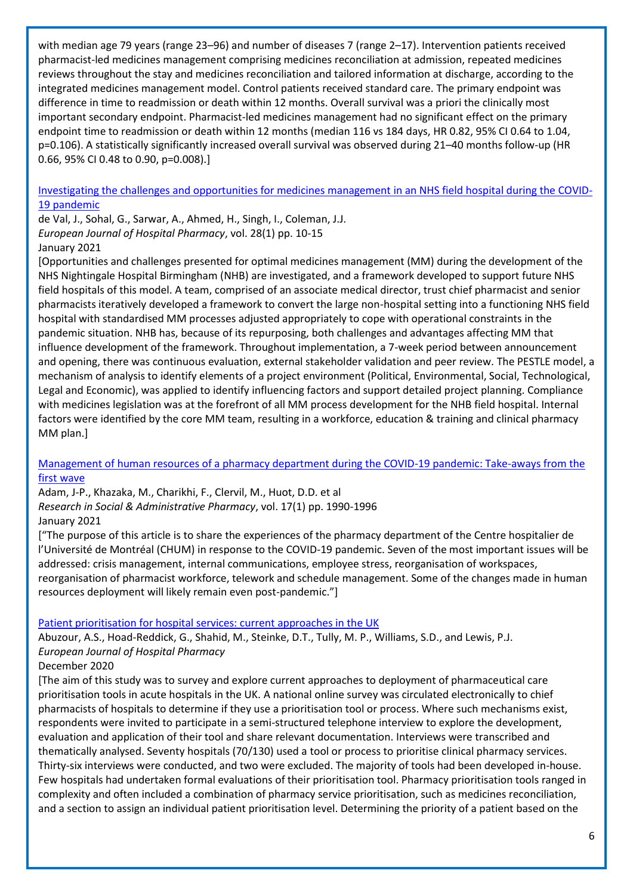with median age 79 years (range 23–96) and number of diseases 7 (range 2–17). Intervention patients received pharmacist-led medicines management comprising medicines reconciliation at admission, repeated medicines reviews throughout the stay and medicines reconciliation and tailored information at discharge, according to the integrated medicines management model. Control patients received standard care. The primary endpoint was difference in time to readmission or death within 12 months. Overall survival was a priori the clinically most important secondary endpoint. Pharmacist-led medicines management had no significant effect on the primary endpoint time to readmission or death within 12 months (median 116 vs 184 days, HR 0.82, 95% CI 0.64 to 1.04, p=0.106). A statistically significantly increased overall survival was observed during 21–40 months follow-up (HR 0.66, 95% CI 0.48 to 0.90, p=0.008).]

[Investigating the challenges and opportunities for medicines management in an NHS field hospital during the COVID-](https://ejhp.bmj.com/content/28/1/10.abstract)[19 pandemic](https://ejhp.bmj.com/content/28/1/10.abstract)

de Val, J., Sohal, G., Sarwar, A., Ahmed, H., Singh, I., Coleman, J.J. *European Journal of Hospital Pharmacy*, vol. 28(1) pp. 10-15 January 2021

[Opportunities and challenges presented for optimal medicines management (MM) during the development of the NHS Nightingale Hospital Birmingham (NHB) are investigated, and a framework developed to support future NHS field hospitals of this model. A team, comprised of an associate medical director, trust chief pharmacist and senior pharmacists iteratively developed a framework to convert the large non-hospital setting into a functioning NHS field hospital with standardised MM processes adjusted appropriately to cope with operational constraints in the pandemic situation. NHB has, because of its repurposing, both challenges and advantages affecting MM that influence development of the framework. Throughout implementation, a 7-week period between announcement and opening, there was continuous evaluation, external stakeholder validation and peer review. The PESTLE model, a mechanism of analysis to identify elements of a project environment (Political, Environmental, Social, Technological, Legal and Economic), was applied to identify influencing factors and support detailed project planning. Compliance with medicines legislation was at the forefront of all MM process development for the NHB field hospital. Internal factors were identified by the core MM team, resulting in a workforce, education & training and clinical pharmacy MM plan.]

#### [Management of human resources of a pharmacy department during the COVID-19 pandemic: Take-aways from the](https://www.sciencedirect.com/science/article/pii/S1551741120311475?via%3Dihub)  [first wave](https://www.sciencedirect.com/science/article/pii/S1551741120311475?via%3Dihub)

Adam, J-P., Khazaka, M., Charikhi, F., Clervil, M., Huot, D.D. et al *Research in Social & Administrative Pharmacy*, vol. 17(1) pp. 1990-1996 January 2021

["The purpose of this article is to share the experiences of the pharmacy department of the Centre hospitalier de l'Université de Montréal (CHUM) in response to the COVID-19 pandemic. Seven of the most important issues will be addressed: crisis management, internal communications, employee stress, reorganisation of workspaces, reorganisation of pharmacist workforce, telework and schedule management. Some of the changes made in human resources deployment will likely remain even post-pandemic."]

#### [Patient prioritisation for hospital services: current approaches in the UK](https://ejhp.bmj.com/content/early/2020/11/30/ejhpharm-2020-002365.abstract)

Abuzour, A.S., Hoad-Reddick, G., Shahid, M., Steinke, D.T., Tully, M. P., Williams, S.D., and Lewis, P.J. *European Journal of Hospital Pharmacy*

#### December 2020

[The aim of this study was to survey and explore current approaches to deployment of pharmaceutical care prioritisation tools in acute hospitals in the UK. A national online survey was circulated electronically to chief pharmacists of hospitals to determine if they use a prioritisation tool or process. Where such mechanisms exist, respondents were invited to participate in a semi-structured telephone interview to explore the development, evaluation and application of their tool and share relevant documentation. Interviews were transcribed and thematically analysed. Seventy hospitals (70/130) used a tool or process to prioritise clinical pharmacy services. Thirty-six interviews were conducted, and two were excluded. The majority of tools had been developed in-house. Few hospitals had undertaken formal evaluations of their prioritisation tool. Pharmacy prioritisation tools ranged in complexity and often included a combination of pharmacy service prioritisation, such as medicines reconciliation, and a section to assign an individual patient prioritisation level. Determining the priority of a patient based on the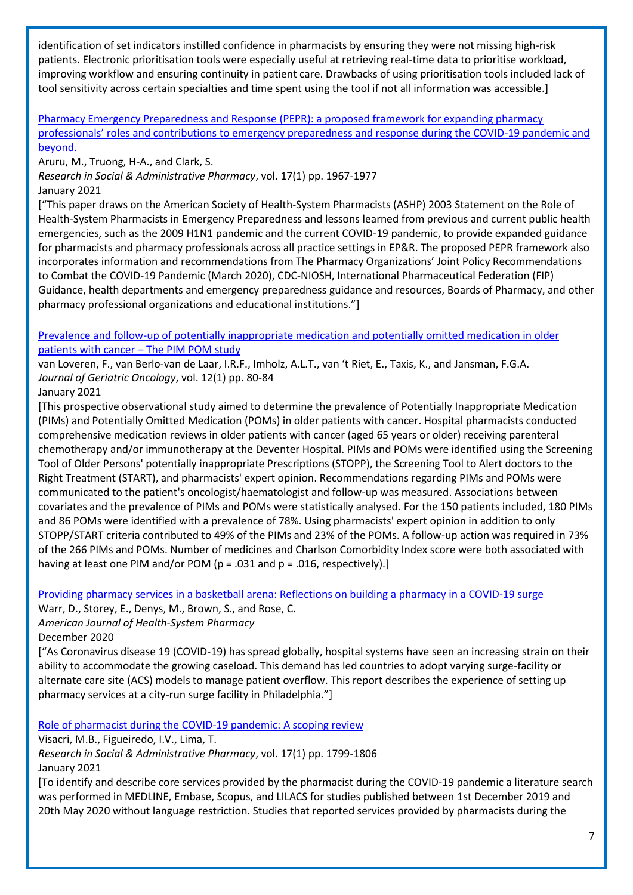identification of set indicators instilled confidence in pharmacists by ensuring they were not missing high-risk patients. Electronic prioritisation tools were especially useful at retrieving real-time data to prioritise workload, improving workflow and ensuring continuity in patient care. Drawbacks of using prioritisation tools included lack of tool sensitivity across certain specialties and time spent using the tool if not all information was accessible.]

[Pharmacy Emergency Preparedness and Response \(PEPR\): a proposed framework for expanding pharmacy](https://www.ncbi.nlm.nih.gov/pmc/articles/PMC7146711/)  [professionals' roles and contributions to emergency preparedness and response during the COVID](https://www.ncbi.nlm.nih.gov/pmc/articles/PMC7146711/)-19 pandemic and [beyond.](https://www.ncbi.nlm.nih.gov/pmc/articles/PMC7146711/)

Aruru, M., Truong, H-A., and Clark, S.

*Research in Social & Administrative Pharmacy*, vol. 17(1) pp. 1967-1977

January 2021

["This paper draws on the American Society of Health-System Pharmacists (ASHP) 2003 Statement on the Role of Health-System Pharmacists in Emergency Preparedness and lessons learned from previous and current public health emergencies, such as the 2009 H1N1 pandemic and the current COVID-19 pandemic, to provide expanded guidance for pharmacists and pharmacy professionals across all practice settings in EP&R. The proposed PEPR framework also incorporates information and recommendations from The Pharmacy Organizations' Joint Policy Recommendations to Combat the COVID-19 Pandemic (March 2020), CDC-NIOSH, International Pharmaceutical Federation (FIP) Guidance, health departments and emergency preparedness guidance and resources, Boards of Pharmacy, and other pharmacy professional organizations and educational institutions."]

[Prevalence and follow-up of potentially inappropriate medication and potentially omitted medication in older](https://www.sciencedirect.com/science/article/pii/S1879406819304965)  [patients with cancer](https://www.sciencedirect.com/science/article/pii/S1879406819304965) – The PIM POM study

van Loveren, F., van Berlo-van de Laar, I.R.F., Imholz, A.L.T., van 't Riet, E., Taxis, K., and Jansman, F.G.A. *Journal of Geriatric Oncology*, vol. 12(1) pp. 80-84

January 2021

[This prospective observational study aimed to determine the prevalence of Potentially Inappropriate Medication (PIMs) and Potentially Omitted Medication (POMs) in older patients with cancer. Hospital pharmacists conducted comprehensive medication reviews in older patients with cancer (aged 65 years or older) receiving parenteral chemotherapy and/or immunotherapy at the Deventer Hospital. PIMs and POMs were identified using the Screening Tool of Older Persons' potentially inappropriate Prescriptions (STOPP), the Screening Tool to Alert doctors to the Right Treatment (START), and pharmacists' expert opinion. Recommendations regarding PIMs and POMs were communicated to the patient's oncologist/haematologist and follow-up was measured. Associations between covariates and the prevalence of PIMs and POMs were statistically analysed. For the 150 patients included, 180 PIMs and 86 POMs were identified with a prevalence of 78%. Using pharmacists' expert opinion in addition to only STOPP/START criteria contributed to 49% of the PIMs and 23% of the POMs. A follow-up action was required in 73% of the 266 PIMs and POMs. Number of medicines and Charlson Comorbidity Index score were both associated with having at least one PIM and/or POM (p = .031 and p = .016, respectively).]

[Providing pharmacy services in a basketball arena: Reflections on building](https://academic.oup.com/ajhp/advance-article/doi/10.1093/ajhp/zxaa418/6017469) a pharmacy in a COVID-19 surge

Warr, D., Storey, E., Denys, M., Brown, S., and Rose, C.

*American Journal of Health-System Pharmacy*

December 2020

["As Coronavirus disease 19 (COVID-19) has spread globally, hospital systems have seen an increasing strain on their ability to accommodate the growing caseload. This demand has led countries to adopt varying surge-facility or alternate care site (ACS) models to manage patient overflow. This report describes the experience of setting up pharmacy services at a city-run surge facility in Philadelphia."]

[Role of pharmacist during the COVID-19 pandemic: A scoping review](https://www.ncbi.nlm.nih.gov/pmc/articles/PMC7334137/)

Visacri, M.B., Figueiredo, I.V., Lima, T.

*Research in Social & Administrative Pharmacy*, vol. 17(1) pp. 1799-1806 January 2021

[To identify and describe core services provided by the pharmacist during the COVID-19 pandemic a literature search was performed in MEDLINE, Embase, Scopus, and LILACS for studies published between 1st December 2019 and 20th May 2020 without language restriction. Studies that reported services provided by pharmacists during the